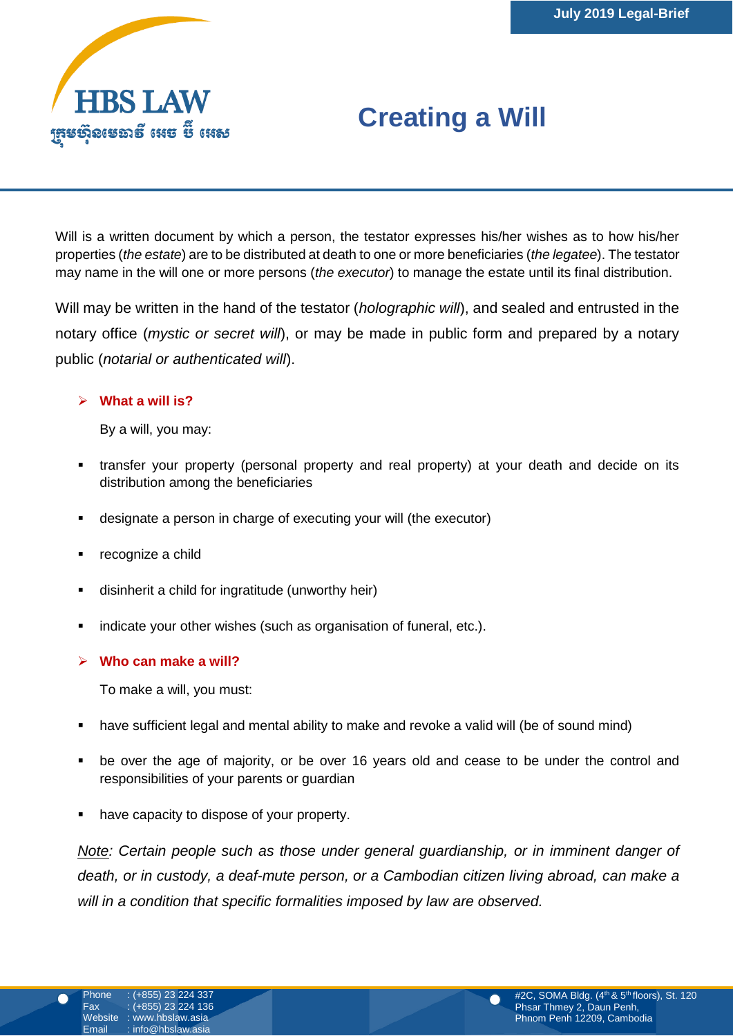

# **Creating a Will**

Will is a written document by which a person, the testator expresses his/her wishes as to how his/her properties (*the estate*) are to be distributed at death to one or more beneficiaries (*the legatee*). The testator may name in the will one or more persons (*the executor*) to manage the estate until its final distribution.

Will may be written in the hand of the testator (*holographic will*), and sealed and entrusted in the notary office (*mystic or secret will*), or may be made in public form and prepared by a notary public (*notarial or authenticated will*).

#### **What a will is?**

By a will, you may:

- transfer your property (personal property and real property) at your death and decide on its distribution among the beneficiaries
- designate a person in charge of executing your will (the executor)
- recognize a child
- disinherit a child for ingratitude (unworthy heir)
- indicate your other wishes (such as organisation of funeral, etc.).

#### **Who can make a will?**

To make a will, you must:

- have sufficient legal and mental ability to make and revoke a valid will (be of sound mind)
- be over the age of majority, or be over 16 years old and cease to be under the control and responsibilities of your parents or guardian
- have capacity to dispose of your property.

*Note: Certain people such as those under general guardianship, or in imminent danger of death, or in custody, a deaf-mute person, or a Cambodian citizen living abroad, can make a will in a condition that specific formalities imposed by law are observed.*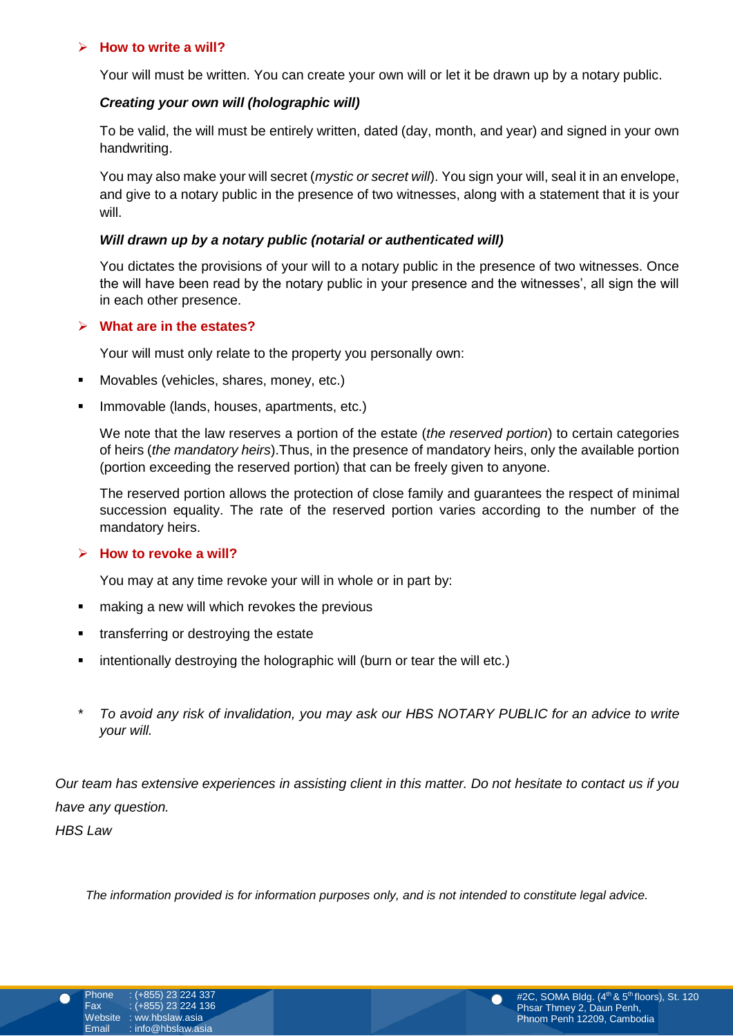#### **How to write a will?**

Your will must be written. You can create your own will or let it be drawn up by a notary public.

#### *Creating your own will (holographic will)*

To be valid, the will must be entirely written, dated (day, month, and year) and signed in your own handwriting.

You may also make your will secret (*mystic or secret will*). You sign your will, seal it in an envelope, and give to a notary public in the presence of two witnesses, along with a statement that it is your will.

#### *Will drawn up by a notary public (notarial or authenticated will)*

You dictates the provisions of your will to a notary public in the presence of two witnesses. Once the will have been read by the notary public in your presence and the witnesses', all sign the will in each other presence.

#### **What are in the estates?**

 $\mathbf{y}$   $\mathbf{y}$   $\mathbf{y}$   $\mathbf{y}$   $\mathbf{y}$   $\mathbf{y}$   $\mathbf{y}$   $\mathbf{y}$   $\mathbf{y}$   $\mathbf{y}$   $\mathbf{y}$   $\mathbf{y}$   $\mathbf{y}$ Your will must only relate to the property you personally own:

- Movables (vehicles, shares, money, etc.)
	- Immovable (lands, houses, apartments, etc.)

We note that the law reserves a portion of the estate (*the reserved portion*) to certain categories of heirs (*the mandatory heirs*).Thus, in the presence of mandatory heirs, only the available portion (portion exceeding the reserved portion) that can be freely given to anyone.

The reserved portion allows the protection of close family and guarantees the respect of minimal succession equality. The rate of the reserved portion varies according to the number of the mandatory heirs.

#### **How to revoke a will?**

You may at any time revoke your will in whole or in part by:

- **naking a new will which revokes the previous**
- transferring or destroying the estate
- **EXED** intentionally destroying the holographic will (burn or tear the will etc.)
- *\* To avoid any risk of invalidation, you may ask our HBS NOTARY PUBLIC for an advice to write your will.*

*Our team has extensive experiences in assisting client in this matter. Do not hesitate to contact us if you have any question. HBS Law*

*The information provided is for information purposes only, and is not intended to constitute legal advice.*